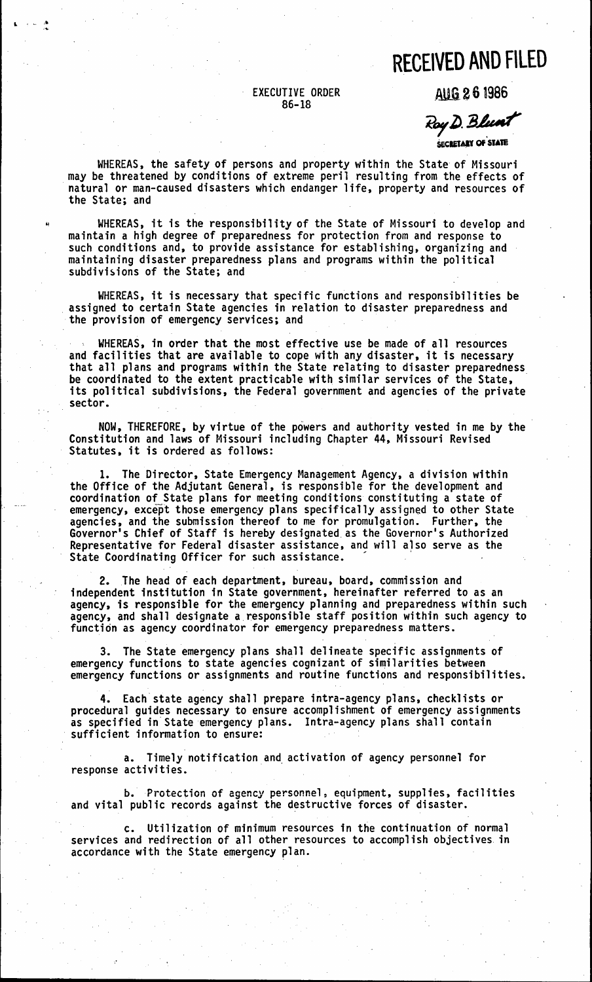## **RECEIVED AND FILED**

## EXECUTIVE ORDER 86-18

l . ,. ,~ ....

.1W.6 2 6 1986

Koy D. Dillan

SECRETARY OF STATE

WHEREAS, the safety of persons and property within the State of Missouri may be threatened by conditions of extreme peril resulting from the effects of natural or man-caused disasters which endanger life, property and resources of the State; and

<sup>~</sup>WHEREAS, it is the responsibility of the State of Missouri to develop and maintain a high degree of preparedness for protection from and response to such conditions and, to provide assistance for establishing, organizing and maintaining disaster preparedness plans and programs within the political subdivisions of the State; and

WHEREAS, it is necessary that specific functions and responsibilities be assigned to certain State agencies in relation to disaster preparedness and the provision of emergency services; and

WHEREAS, in order that the most effective use be made of all resources and facilities that are available to cope with any disaster, it is necessary that all plans and programs within the State relating to disaster preparedness<br>be coordinated to the extent practicable with similar services of the State,<br>its political subdivisions, the Federal government and agencies of sector.

NOW, THEREFORE, by virtue of the powers and authority vested in me by the Constitution and laws of Missouri including Chapter 44, Missouri Revised Statutes, it is ordered as follows:

1. The Director, State Emergency Management Agency, a division within the Office of the Adjutant General, is responsible for the development and coordination of State plans for meeting conditions constituting a state of emergency, except those emergency plans specifically assigned to other State agencies, and the submission thereof to me for promulgation. Further, the Governor's Chief of Staff is hereby designated. as the Governor's Authorized Representative for Federal disaster assistance, and will also serve as the State Coordinating Officer for such assistance.

2. The head of each department, bureau, board, commission and independent institution in State government, hereinafter referred to as an agency, is responsible for the emergency planning and preparedness within such agency, and shall designate a responsible staff position within such agency to function as agency coordinator for emergency preparedness matters.

3. The State emergency plans shall delineate specific assignments of emergency functions to state agencies cognizant of similarities between emergency functions or assignments and routine functions and responsibilities.

4. Each state agency shall prepare intra-agency plans, checklists or procedural guides necessary to ensure accomplishment of emergency assignments as specified in State emergency plans. Intra-agency plans shall contain .<br>sufficient information to ensure:

a. Timely notification and activation of agency personnel for response activities.

b. Protection of agency personnel, equipment, supplies, facilities and vital public records against the destructive forces of disaster.

c. Utilization of minimum resources in the continuation of normal services and redirection of all other resources to accomplish objectives. in accordance with the State emergency plan.